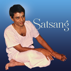# Satsang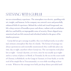# SATSANG WITH GURUJI

was an extraordinary experience. The atmosphere was electric, sparkling with wit, insight, and humour. In his company one entered a new and powerfully enhanced field of experience. Behind the verbal and visual foreground, one felt a deep current of boundless peace and silence, radiant with an unfathomable love and held by an impregnable sense of security. Hours slipped away unnoticed and one felt renewed and refreshed, bathed in the grace of his timeless presence.

Guruji did not give satsangs in public; they were held privately, in an informal, intimate atmosphere like that of a family. The format of satsangs was always spontaneous and essentially unannounced; they could take place any time, day or night, anywhere where Guruji was. The vast majority took place late at night – Guruji's daytime, as it were, since he was usually up at night – and in a variety of places: in Shirdi, in Tirumala, by the sea on the coast south of Chennai, in Rishikesh, on the Ganga in Varanasi, in Uttar Kashi, or on the roof of his simple flat in Tiruvannamalai, or even while travelling on boat or train. Wherever the satsangs were held, pin drop silence prevailed until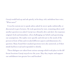# Guruji would look up and ask quietly, in his deep, rich, melodious bass voice, "What news?"

It was his custom not to speak unless asked; he never spoke unilaterally, or discoursed or gave lectures. He took questions by turn, remaining silent until another question was asked. Guruji was vibrantly alive and alert, his responses original, fresh and immediate, often challenging our beliefs and questioning our assumptions. His replies were specific and relevant to the needs of the person in front of him and revealed different aspects and dimensions of a question. Many found their unasked questions were also answered, as if their minds had been read and responded to silently.

These dialogues are taken from various satsangs which took place in the different locations Guruji stayed over the years. May they inspire and support our unfoldment into greater love and freedom!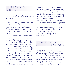# THE MEANING OF SATSANG

*QUESTION: Guruji, what is the meaning of satsang?*

GURUJI: Satsang has three meanings:

Sat means 'truth' or 'reality', and sang means 'company' or 'communion'. So satsang is our communion with truth, our attunement to truth. That is real satsang.

The second meaning is to be in the company of those who have realized the truth. Whenever we have the opportunity, we should try to meet them and take their guidance and blessing.

And the third significance is being in the company of like-minded people with whom we can share and discuss the truth with focus and passion, in a congenial environment. We can talk about the lives of the satpurushas, those who have already realized the sat. We can explore the truth of our own being, of the universe, of how we

relate to the world. Let it be informal: reading, singing nama or bhajans, meditating and sharing together; let emotional attachment, connectedness and friendship grow with like-minded people. Try to transform your social contacts into spiritual contacts. Share! And when you talk to others, try to talk to them in their own way, in a way they can understand, in the way of human experience and not in abstract philosophical terminology.

We can do satsang in each of the three ways.

# FINDING OUR OWN SPIRITUAL EXPRESSION

. . .

*QUESTION: You emphasise that we should make our spiritual path personal. You have talked about it in satsang in different ways, encouraging us to find out what we need and not take up someone else's goal; to have our own path, make our own concepts and not simply go by*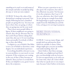*something we've read; to set aside many of the concepts and ideas we picked up along the way; to 'write our own scripture'.*

GURUJI: To know the value of the destination is making it personal. Not simply following because a hundred people are going this way. You may not know where they are going, or where they are going may not be your need.

That is how most people follow religion: If their neighbours are going to church, they also go. Because they say the Lord's Prayer before taking their meal, they also say it. It's not touching them, personally. Everybody is following, so they also follow.

A religion is a set of beliefs. But Baba is not a set of beliefs or doctrines, some dogma. It is an individual experience.

Everything should be relevant to you, to your problem, to your need, to your situation. If the scriptures are coming in the way of that, if they become an obstacle, then you have to avoid them. If they are helpful to you, good. I never decry the scriptures.

When you put a question to me, I also quote the scriptures, but only if they illustrate my point. Not because it's in the scriptures, that I say it. If they say otherwise, also I don't mind. To me, giving an example from daily life happenings is equal to giving an example from the Mahabharata and the Gita, as long as it is serving its purpose.

. . .

# MORE THAN VERBAL **TEACHINGS**

GURUJI: I can say many things, and people pick up and practise those which are suitable to them. Other things might give you just an intellectual understanding, that's all.

I don't believe that these satsangs will make you enlightened and that I give you knowledge with my lectures. It's just an opportunity to sit with you for some time, that's all. I don't think that what we speak now is very important, because I don't believe in lectures,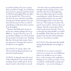in verbal teaching. If it was so good, Baba would have taught, he would have given lectures, going around the whole world! [Guruji laughs] What he didn't do, why should I do? That is why I also don't lecture and don't do public satsang. Just sitting together for some time and, because we have to talk of something we talk about these matters. [Guruji laughs]

Because what Baba does, he does it not by any verbal teachings. His way is different – he gives! He never says, "If you do this I will give you. Don't do that! If you do that I won't give you." Nothing like that. He knows how to give, that is my experience. Satsang is just a pretext for all of us to sit together.

*QUESTION: So Guruji, what is the role of verbal teaching in the process of spiritual transformation?* 

GURUJI: It depends upon the need of the individual. If one needs verbal teaching, then it will be given. If one doesn't need it, then there's no need.

 For those who can understand only through verbal teaching, it has to start with that. But that is the beginning, then it actually pushes them towards something non-verbal. Because at the experiential level there are no verbs! [Guruji laughs] That is why the scriptures say, "The mind can't reach it, the speech can't reach it." And yet, there are volumes of books written about That which words cannot describe. They try to describe the indescribable, to explain the ineffable. Why? Because this is also needed. Not that all verbal teaching is of no use. No, both are needed.

*QUESTION: Does that mean that ideally satsang should take place increasingly in silence?*

GURUJI: Let us concern ourselves with our own need, our own fulfilment: what is our problem, are we trying for it, is the satsang or the meditation helping us? Let us focus on that. To me everybody is individually coming and sitting here – you are not sitting as a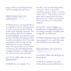group, each of you is sitting with me, and I am sitting with each of you.

. . .

# THE PURPOSE OF SATSANG

GURUJI: Even in a satsang like this, it is a myth that I answer your questions. It is a lie if anyone says that anybody could answer anybody's questions. No! I don't believe that! I'm not deluded. [Guruji laughs] By your questions and answers something else happens which is totally not related to this. That is the real purpose of the satsang. Not my verbal answers or your verbal questions. Not your intellect or my intellectual answers. No. Something else has to happen. Whether it is happening or not, that has to be your experience.

### *QUESTION: What is that 'else' that is happening then?*

GURUJI: We can't explain. You

feel that, "Yes, beautiful! Something is cleared". What is cleared? If somebody asks you, "Come on tell me, what is clear?" "I don't know, but I got some clarity, some burden has been lifted from me." What is that burden? You're not aware of it. Something happens.

*QUESTION: So for it to happen you actually have to be physically present in th:e satsang. Listening to recordings of the satsangs does not do the same?*

GURUJI: Sometimes it does also. What I am saying is, it's not exactly the words. The words have some other effect.

. . .

# RECEPTIVE TO GRACE

*QUESTION: What is the role of grace in getting clarity?*

GURUJI: For instance, you need clarity, and you come and sit here in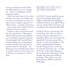satsang, and then my words clarify something which you were striving for – that act is called grace. What happened is grace.

And if you don't want it, if you have already come with a set of ideas and you resist everything I say, always trying to create a negative argument to all I'm saying – a running commentary – then you get more confused and my satsang is not an act of grace.

So grace is what you experience and how you experience it. It depends on whether that experience is needed for you. It should be a graceful experience. [Guruji laughs] And if you feel that it is happening because of something or someone outside of yourself, then we use the words "by whose grace" – by Baba's grace, by somebody's grace. But it is not their actions, it is how you receive it and how you experience it. That is grace.

. . .

# SITTING AT THE FEET OF THE MASTER

*QUESTION: Guruji, would it be correct to say that in sitting at the feet of the Sadguru, all manuals and teachings are contained in that one act in effect? That if one sits correctly, all the instructions and everything can be contained in that itself?*

GURUJI: That is actual sitting. The real sitting is that. The very fact of sitting at the feet of the guru is an upanishad. What is the meaning of the upanishad? Not what you get there, but the very fact of sitting there. That itself is upanishad [from Sanskrit, literally 'sitting near (i.e. at the feet of a master)', from upa 'near' + ni-shad 'sit down'] . Then, depending upon the needs and the requirements of the disciple, the master gives different teachings. That is why you see different theories, different schools of philosophy.

. . .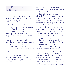# THE EFFECT OF SATSANG

*QUESTION: You said we may feel answered in satsang but the real thing happens outside of satsang.*

GURUJI: The real transformation which comes in your heart is not due to what I speak in the satsang. It's not the spoken word which actually affects you, which transforms you. It may be intellectually nourishing and some intellectual confusion may be cleared – I am not saying it is worthless – but the actual transformation is not due to these words.

Books and lectures will never transform anybody. For some they may be a trigger.

*QUESTION: Does asking a question make any difference at all to the transformation of the person asking a question?*

GURUJI: Nothing. If it is something that is troubling you at an intellectual level and if at all it is answered at an intellectual level, then that part is cleared. And for many people receiving an answer at an intellectual level seems as if it has answered them, and they have become very clear. But it is not true. It is only temporary. Afterwards again it starts. That is why after one or two hours of satsang, actually none of you will have any questions to ask. But, will it remain like that? No! Just after a few days, some other questions appear. So it goes on.

The real purpose of satsang is the state of mind you get when you leave the satsang after sitting here for one or two hours. You don't have any intellectual or emotional pull to ask a question, even if you try. Even if you make a big effort to form a thought in your mind, it refuses to come. Usually our problem is to stop the thoughts, but after satsang the effort to even formulate a question becomes impossible. That state of not having a thought,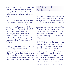even if you try to have a thought, that state has nothing to do with what I have spoken before. And that is the real effect, the result, the fruit of the satsang.

*QUESTION: So what is happening here is so ineffable, in essence it's so beyond the mind that indeed it doesn't really seem to matter on an individual basis whether one asks or not, or how much or how little we are doing. There is something else, something mysterious, something that we can't understand, perhaps will never understand, but which is still effectively working, just being in the presence of the Sadguru.*

GURUJI: And from our side, what we are thinking, how we understand and enjoy, how we receive and how we retain it… Whenever I talk in the satsang I talk about that aspect, because we are not aware of the deeper effect and we do not know the mechanisms behind it. HEARING AND ACCEPTING

*QUESTION: Guruji, sometimes someone amongst us will ask you a question and when you answer it seems to many that you give an incredibly clear and succinct answer, sometimes spelling it out again and again to that person. And yet, often the person who asked the question seems unable to hear your answer and it's kind of puzzling. Is it because we have some resistance to hearing or, why is that so? Why can we at times not hear?*

GURUJI: It happens because of many reasons. One is that when they are spelling out the question, they are just intellectualising an emotional or egoic confusion and the answer caters only to the intellectual aspect of the question. For the others who don't have that emotional complexity, the answer is very clear. But for the person who asked, it is actually not the real answer. For the real answer it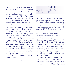needs something to be done and that happens later, not during the satsang.

And for some it is because they come with fixed ideas and suddenly it would be very difficult for them to accept it. The ego feels it as a defeat, so they may not be ready to admit it. To the others it actually is clear.

Like this, there are many reasons. For instance, if somebody has some sight problem and if they say that this is not an ashtray but a glass, and I say, "No, it is an ashtray." And I show it to you all, and to all who don't have the sight problem, for you it is very clear. "Yes, we see, it is an ashtray." But for the person who has a sight problem it is not, that is why she mistakes it for a glass. "I can't see it! It is still a glass!" So what we have to do is to change the glasses or have some treatment so that the sight is clear. Then that person also starts seeing it for what it is.

. . .

### ENQUIRY AND THE STATE OF BEING ANSWERED

*QUESTION: Guruji, the questions that you're encouraging us to ask ourselves, like, "Are we deluding ourselves? Are we really having this need? Are we really focused?" I hear your questions, but I don't know the answers. Will Baba give us the answers?*

GURUJI: What is the nature of the question? Ramana said, enquire: "Who am I?" Can Ramana give an answer? He asked you to enquire "Who am I?" Do you know the answer? No. It is not the type of question which needs a kind of answer as with an objective type of question: a,b,c, and what comes next? Come on, it's 'd'. [Guruji laughs]

You have to investigate whether you are deluded or not.

Suddenly you see something that looks like a snake. You are deluded. What will you do at that time? Either you run away, or you'll put a light on or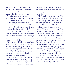go nearer to see. Then your delusion will go. You have to make that effort. Otherwise you'll be simply running away. What I am asking is instead of running away, go and clearly see whether it is actually a snake or a rope or something else. Even if I tell you, it is not a snake, it is a rope, you say, "No, you don't know. That is a snake, I know it. For you, O Sadguru, O Baba, it may be a rope, but for us it is a snake!" [Guruji laughs] Then you'll try to teach him the difference between a rope and a snake. The only way is you have to go and see. If you are deluded you have to remove your delusion.

When you are deluded and somebody gives an answer, you receive a deluded answer. The Sadguru gives you the answer by making you go and see it. That is what I am doing. It's not by making you accept the answers, it's by giving you a state of being answered.

That is a beautiful word in Sanskrit, samadhana. What in jnana a person gets is samadhana: a state of being answered. What are the questions and what are the answers? He can't say. He gets a state where there are no more questions, as if everything has been solved. The quest has ended.

The Buddha started his quest: What is life? What is death? What is disease? Is there a way to overcome this? Those were the questions. And he went in search of the answer. When he sat under the Bodhi tree, his questions were answered. What were the answers? Could he conquer his death? For him, death meant the physical death, that is what he started with. No, he couldn't find a solution for that. But he said he got the answers. And he didn't give the answers, he asked you to put the same questions and do the quest. That is the beauty in it. In Vedantic terminology they call it samadhana, in Buddhist terminology he said bodhi, but both are the same.

So these are almost a kind of rhetorical questions, where there are no concrete answers. Something happens, that's all, then you feel answered. And that is what actually has to happen.

. . .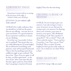# A DIFFERENT ANGLE

[Sometimes Guruji would say in satsang, in the late hours of the night…] Achcha! I think you're all sleepy.

### *QUESTION: No, just confused, sufficiently confused!*

GURUJI: If it's really confusion, then you should try to find out the points that are not tallying – not now, do it at your own leisure. It's a good symptom. If you experience confusion, it means you are thinking.

So in that way I succeeded. At least one is confused! That means that you are really following me! [Guruji laughs] We are all fused to something, some patterns, some well accepted brainwash. That is why if something comes from a different angle we get confused. The fuse is lost. Then, if you try again, it will be okay, you'll be again fused – to the new circuit. After some time this also becomes again a pattern. Don't think that I am going to stop here! [Guruji

laughs] This is for the time being.

CREATING A SENSE OF MYSTERY

. . .

GURUJI: I'm not trying to give you answers, I am only trying to create a sense of mystery in you. Because by trying to give you answers I'm shutting down your curiosity, your sense of mystery, your quest. "All is Brahman! Everything is God! This is perfect! I am perfect!" "Ah, so what!?" That's all. There ends the matter. "You're perfect, I'm perfect. I am That, you are That!" Finished! Then, so what? [Guruji laughs] So don't go for ready-made an-. . . swers. Try to find out. Is it that? What is that?

. . .

# MAKE AN EFFORT

*QUESTION: Guruji, I like very much*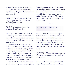*to do pradakshina around Nanda Deep in Lendi Garden. I' d like to know the significance of this place. Would you please speak about it?*

GURUJI: Haven't you read Baba's biography? If you read the Sai Satcharitra you'll find out.

### *QUESTION: I did, but I can't find anything about Nanda Deep.*

GURUJI: Then you haven't read it thoroughly. First make some effort on your side. If you are really not able to get it, then ask. I still want you to go and explore.

I like questions to which you don't find answers in books, where it shows some kind of an effort. Satsang is not to make you more and more lazy. "Ah, why the trouble of going through a book, we can simply put a question to Guruji in the satsang and then he will answer." Hmm? Make an effort!

I like to talk about saints, no doubt about it. But if I go on answering these kind of questions you won't make any effort on your side. Why I am pointing this out is, a question should not come out of laziness. We should make an effort. Do the endeavour. When you are not able to grasp something, then try for help.

. . .

# REAL QUESTIONS

GURUJI: When I ask you to repeat your question and you simply say, "Ah, it's okay, it's not important", it really proves that it is not a real question. A real question should be very important to you. You should know it. It should create some hollowness which has to be filled.

*QUESTION: I have a friend who says you should work on your question to make sure it's important.*

GURUJI: It need not be, because all these things we talk are not really im-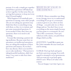portant. It is only a simple get-together and all these questions will help keep us here together. In that sense they are serving their purpose: to keep me in my chair! [Guruji laughs]

What happens is if somebody puts questions in satsang, some other people who are not asking any questions may think that there is something wrong with them, so they try to imitate and put some nonsensical questions. It is not needed. If they don't have any questions, there is no need to ask anything.

It is just like imitating a patient taking medicines. Because some have an uneasiness, an intellectual uneasiness, they are taking this medicine of these questions and answers. If you don't have any disease, there is no need for you to take medicines. "That person is taking beautiful medicines, daily four times, I too want to take four times medicines!"

. . .

# WHAT IS OF VALUE IS THE ESSENCE

GURUJI: Always remember one thing in any satsang: never try to understand everything! If you go to a restaurant, a menu is given to you, there are lots of things – you pick only two or three things and eat. You don't have to eat everything on the menu simply because you have gone to a restaurant, do you? This is like a restaurant, I have provided you with a menu, you pick those things which you like.

*QUESTION: I would like to quote you, but I don't remember the exact words you used in satsang…*

GURUJI: Don't go back and quote me from a previous satsang. Even with regard to satsang let us be spontaneous. And you want me to go back again, which I can't. What is of value is the essence.

You are hungry. Last time I gave you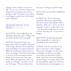chapatti. Now I will give you puri or idly. "No, no, no. Last time you gave me chapatti for my hunger, now you are giving me idly!" My point is to see that your hunger is sated, that's all. So don't quote chapattis!

. . .

# REALIZE WHAT YOU NEED

*QUESTION: You've talked about the importance of having a goal. I' d like to ask you what is the best way to set a goal?* 

GURUJI: Instead of trying to set a goal, realize what your goal is. The goal is like hunger. Because of our indiscriminate food habits our appetite has been killed. It's totally gone and you don't realize your hunger. And what I am trying to do now in these satsangs and these things, is just to give you some appetizers. When the appetizers work, you realize your hunger – not that you 'set up' the hunger. Then you know what

you want. Setting up a goal is wrong.

*QUESTION: So you mean it shouldn't be conceptual.*

GURUJI: Yes. That's what many people do, they set up a goal which they don't need. Like moksha, Self-realization, 'Who am I'. These are all set up goals. "I want to realize who I am" – but they don't really have the need to know who they are – it's not their hunger.

*QUESTION: So then how to proceed, if not conceptually or in reference to something one has read or heard?*

GURUJI: One has to realize it, one has to experience it, like a hunger. When you are hungry you don't 'set up' hunger, you feel it, you realize your need: you should feel it like a need. And when you're not feeling it, or not feeling it so acutely, then it will be intensified by appetizers. Or if not, by some laxatives, some purgatives or,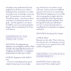if needed, some medication! [Guruji laughs] So in all these ways, what is being done here around me is to make you realize your own hunger, your own goal. To experience it more acutely. You all have goals – not that you don't need them, everybody has their own goals – but the appetite is not there. It's killed, you're not experiencing the hunger, there's constipation! So it has to be shown.

. . .

HAPPINESS IS THE CHILD OF LOVE

*QUESTION: Two things that you emphasize a lot are happiness and love. What actually is the relationship between the two? Is happiness the child of love, or is happiness the food of love? In what way is it born?*

GURUJI: Happiness is the child of love.

If we love something and we get it, simply loving it gives us joy, happi-

ness. If that love is not there, no joy will come. And even the most difficult situation, if we love it, we can feel joy. What kind of a happiness is it to sit like this in satsang late at night, after having travelled the whole day and gone to such high altitudes and back, after having had a bath and a full dinner – is it not a torture? [Guruji refers to travelling from Uttarkashi to Gangotri and back.]

### *DEVOTEES: [In chorus] No, Guruji!*

### GURUJI: Why?

Because you love this. That is why you have the joy of it. So what gives you joy is your love. So it is equal to: love is the mother of happiness!

CREATING A CONGENIAL ENVIRONMENT

. . .

*QUESTION: How to culture and nurture love? How to make it grow?*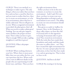GURUJI: There is no method, or a technique to make it grow. The only thing is, when you realize that you have love and you have a need for that love, and you want to realize that love, then try to create an environment, or to be in an environment, where that love is widely cultivated. Then it will grow on its own. When a congenial environment is provided, the plant grows, that's all. What can you do to make a plant grow? Nothing. You can only give support, water, fertilizer, the proper environment. That is what you have to give. That is enough. Will you take a sapling, straighten it, and then it grows?

### *QUESTION: What is the proper environment?*

GURUJI: Where nothing obstructs your love. Where there is more possibility that you can realize the love, you can experience the love. Where such a love exists in different shades in the people who are experiencing it in different ways, and share. Then you have

the right environment there.

Either you have to be in the environment, or you have to create the environment – both I said. If it is not there, you have to create your own. Being dependent on living in such an environment is not correct. The ability to create our own environment should also be there.

Rice grows so easily in Andhra, for instance. Here, in the Himalayas, in these valley slopes, see how they did it! [Guruji refers to the ingenious terracing of mountain sides to grow rice] They created an environment. With the rocks they have made these boundaries and canals, and then made the water to collect there – see! They have created the right environment for the rice. It is not a proper place for rice cultivation, in fact, but they have made it so, and are growing rice. That is what we have to do.

### *QUESTION: And how to do that?*

GURUJI: By creating it, by having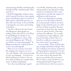satsang, being with like-minded people, sharing with like-minded people. Share your love!

Read the biographies of great saints. And it is good if you have some regular hours of meditation. Just sit in front of Baba's photo and feel his presence, either with eyes closed, or if you feel like it, keeping the eyes open, just looking at his photo.

One day, a Western devotee found that Bhagavan's photograph was smiling at him and it felt so real. When he asked Bhagavan whether it was reality or imagination, a fancy of his own mind, Bhagavan said, "Why do you think it is a mere photograph?" So Bhagavan indirectly confirmed that it is not a mere photograph.

When you are at home, if you feel like singing some songs in your own way, some bhajan, some nama, just sing, in your own language – it need not be the fixed bhajan we do here. You can do it while working, for example when you're cooking or gardening.

Try to have periodical get-togeth-

ers with like-minded people, satsang, sitting together morning and evening, whenever you find time. Have some regular hours and take the support of meditation with the group.

That is one thing about a satsang: when we are in the midst of the love of so many people, without our knowledge our dry minds become wet with the love of those around us. Because, sometimes we don't have the emotion, we lose it and we feel dry. Then they can have that influence. Try to make yourself prone to that influence, and reap the benefits of that! There is a benefit in a collective expression of love, that is why I encourage it.

You may think, "What is all this sharing, satsangs and all these things? They have nothing to do with my realization, with getting that experience!" It is just like with a harvest and the fencing. You sow some seeds in the ground, they sprout up, and then the crop comes. But in order to enjoy the harvest, you need good fencing. Fencing is not a part of the harvest, but if you want to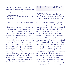really enjoy the harvest you have to take care of the fencing, otherwise you won't get the harvest at all.

### *QUESTION: You are saying satsang is the fencing?*

GURUJI: Yes, because for most of us our mind is so weak that we are easily influenced by the environment, so we need some kind of protection. Now the plant of love and grace has just been planted, so you must cover it and fence it around, till it becomes a big tree. When the seeds of love are like a small flickering flame, the wind is dangerous to it. It needs some protection, some glass, or a chimney. If it is a big fire, it consumes everything in the environment. If your seeking, your emotion has become so powerful, then you influence the environment, and wherever you go satsang will be created there automatically, but as long as you feel that you are influenced by the environment, you need a chimney.

# PERPETUAL SATSANG

*QUESTION: Guruji, you talked previously about the state of perpetual satsang. Could you say something about that state?*

GURUJI: When you are hungry, when you are eating food, at what level do you feel satisfied? With the first morsel your hunger is not satisfied. Then why do you take it if you're not satisfied? It leads to a second one, a third one, a fourth one. And when your stomach is full you say, "Ah! No more!" then you relax and you don't take any more food. You are not thinking of hunger or food at all, but what you feel is the satisfaction, and you relax, you take a siesta. And that is actually the goal. To get there, you had hunger, got the food and ate it. Even though when you experience the siesta at the end, nothing of this sort will come to your mind. It's not connected to food or hunger. Yet that siesta is a kind of perpetual eating. [Guruji laughs] And what you are